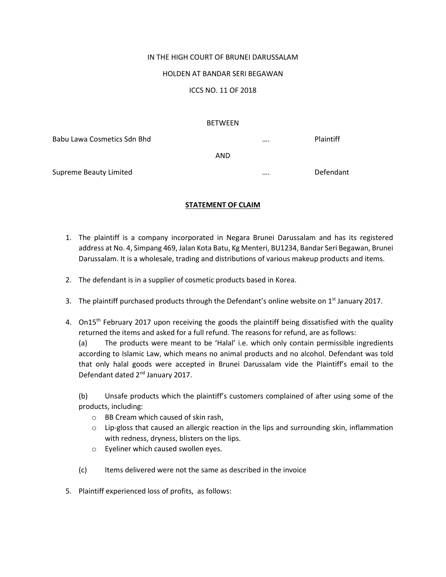## IN THE HIGH COURT OF BRUNEI DARUSSALAM

### HOLDEN AT BANDAR SERI BEGAWAN

## ICCS NO. 11 OF 2018

#### BETWEEN

Babu Lawa Cosmetics Sdn Bhd …. Plaintiff AND

Supreme Beauty Limited **Example 20 and Supreme Beauty Limited Example 20 and Algorithment** 20 and 20 and 20 and 20 and 20 and 20 and 20 and 20 and 20 and 20 and 20 and 20 and 20 and 20 and 20 and 20 and 20 and 20 and 20

## **STATEMENT OF CLAIM**

- 1. The plaintiff is a company incorporated in Negara Brunei Darussalam and has its registered address at No. 4, Simpang 469, Jalan Kota Batu, Kg Menteri, BU1234, Bandar Seri Begawan, Brunei Darussalam. It is a wholesale, trading and distributions of various makeup products and items.
- 2. The defendant is in a supplier of cosmetic products based in Korea.
- 3. The plaintiff purchased products through the Defendant's online website on  $1<sup>st</sup>$  January 2017.
- 4. On15<sup>th</sup> February 2017 upon receiving the goods the plaintiff being dissatisfied with the quality returned the items and asked for a full refund. The reasons for refund, are as follows:

(a) The products were meant to be 'Halal' i.e. which only contain permissible ingredients according to Islamic Law, which means no animal products and no alcohol. Defendant was told that only halal goods were accepted in Brunei Darussalam vide the Plaintiff's email to the Defendant dated 2nd January 2017.

(b) Unsafe products which the plaintiff's customers complained of after using some of the products, including:

- o BB Cream which caused of skin rash,
- $\circ$  Lip-gloss that caused an allergic reaction in the lips and surrounding skin, inflammation with redness, dryness, blisters on the lips.
- o Eyeliner which caused swollen eyes.
- (c) Items delivered were not the same as described in the invoice
- 5. Plaintiff experienced loss of profits, as follows: